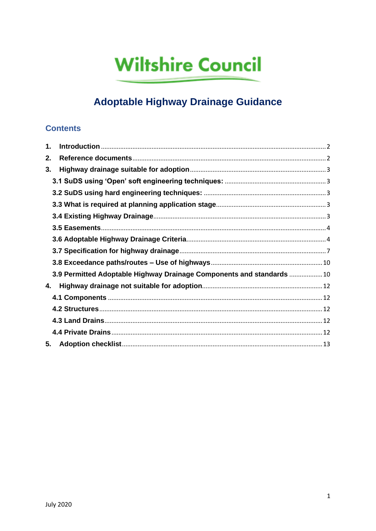# **Wiltshire Council**

# **Adoptable Highway Drainage Guidance**

#### **Contents**

| 1. |                                                                       |  |
|----|-----------------------------------------------------------------------|--|
| 2. |                                                                       |  |
| 3. |                                                                       |  |
|    |                                                                       |  |
|    |                                                                       |  |
|    |                                                                       |  |
|    |                                                                       |  |
|    |                                                                       |  |
|    |                                                                       |  |
|    |                                                                       |  |
|    |                                                                       |  |
|    | 3.9 Permitted Adoptable Highway Drainage Components and standards  10 |  |
| 4. |                                                                       |  |
|    |                                                                       |  |
|    |                                                                       |  |
|    |                                                                       |  |
|    |                                                                       |  |
| 5. |                                                                       |  |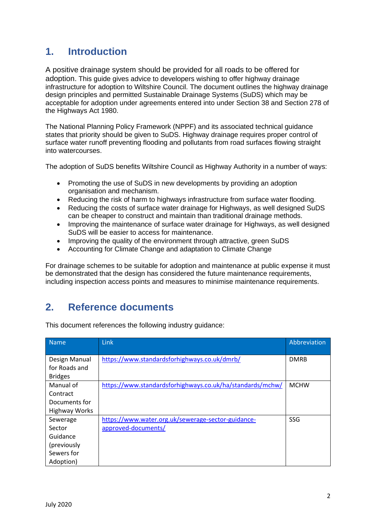### <span id="page-1-0"></span>**1. Introduction**

A positive drainage system should be provided for all roads to be offered for adoption. This guide gives advice to developers wishing to offer highway drainage infrastructure for adoption to Wiltshire Council. The document outlines the highway drainage design principles and permitted Sustainable Drainage Systems (SuDS) which may be acceptable for adoption under agreements entered into under Section 38 and Section 278 of the Highways Act 1980.

The National Planning Policy Framework (NPPF) and its associated technical guidance states that priority should be given to SuDS. Highway drainage requires proper control of surface water runoff preventing flooding and pollutants from road surfaces flowing straight into watercourses.

The adoption of SuDS benefits Wiltshire Council as Highway Authority in a number of ways:

- Promoting the use of SuDS in new developments by providing an adoption organisation and mechanism.
- Reducing the risk of harm to highways infrastructure from surface water flooding.
- Reducing the costs of surface water drainage for Highways, as well designed SuDS can be cheaper to construct and maintain than traditional drainage methods.
- Improving the maintenance of surface water drainage for Highways, as well designed SuDS will be easier to access for maintenance.
- Improving the quality of the environment through attractive, green SuDS
- Accounting for Climate Change and adaptation to Climate Change

For drainage schemes to be suitable for adoption and maintenance at public expense it must be demonstrated that the design has considered the future maintenance requirements, including inspection access points and measures to minimise maintenance requirements.

## <span id="page-1-1"></span>**2. Reference documents**

| <b>Name</b>    | Link                                                      | Abbreviation |
|----------------|-----------------------------------------------------------|--------------|
|                |                                                           |              |
| Design Manual  | https://www.standardsforhighways.co.uk/dmrb/              | <b>DMRB</b>  |
| for Roads and  |                                                           |              |
| <b>Bridges</b> |                                                           |              |
| Manual of      | https://www.standardsforhighways.co.uk/ha/standards/mchw/ | <b>MCHW</b>  |
| Contract       |                                                           |              |
| Documents for  |                                                           |              |
| Highway Works  |                                                           |              |
| Sewerage       | https://www.water.org.uk/sewerage-sector-guidance-        | SSG          |
| Sector         | approved-documents/                                       |              |
| Guidance       |                                                           |              |
| (previously    |                                                           |              |
| Sewers for     |                                                           |              |
| Adoption)      |                                                           |              |

This document references the following industry guidance: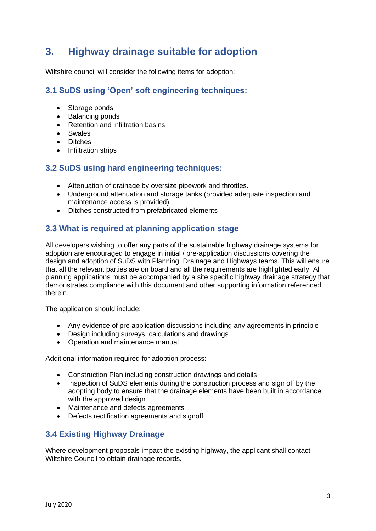## <span id="page-2-0"></span>**3. Highway drainage suitable for adoption**

Wiltshire council will consider the following items for adoption:

#### <span id="page-2-1"></span>**3.1 SuDS using 'Open' soft engineering techniques:**

- Storage ponds
- Balancing ponds
- Retention and infiltration basins
- Swales
- Ditches
- Infiltration strips

#### <span id="page-2-2"></span>**3.2 SuDS using hard engineering techniques:**

- Attenuation of drainage by oversize pipework and throttles.
- Underground attenuation and storage tanks (provided adequate inspection and maintenance access is provided).
- Ditches constructed from prefabricated elements

#### <span id="page-2-3"></span>**3.3 What is required at planning application stage**

All developers wishing to offer any parts of the sustainable highway drainage systems for adoption are encouraged to engage in initial / pre-application discussions covering the design and adoption of SuDS with Planning, Drainage and Highways teams. This will ensure that all the relevant parties are on board and all the requirements are highlighted early. All planning applications must be accompanied by a site specific highway drainage strategy that demonstrates compliance with this document and other supporting information referenced therein.

The application should include:

- Any evidence of pre application discussions including any agreements in principle
- Design including surveys, calculations and drawings
- Operation and maintenance manual

Additional information required for adoption process:

- Construction Plan including construction drawings and details
- Inspection of SuDS elements during the construction process and sign off by the adopting body to ensure that the drainage elements have been built in accordance with the approved design
- Maintenance and defects agreements
- Defects rectification agreements and signoff

#### <span id="page-2-4"></span>**3.4 Existing Highway Drainage**

Where development proposals impact the existing highway, the applicant shall contact Wiltshire Council to obtain drainage records.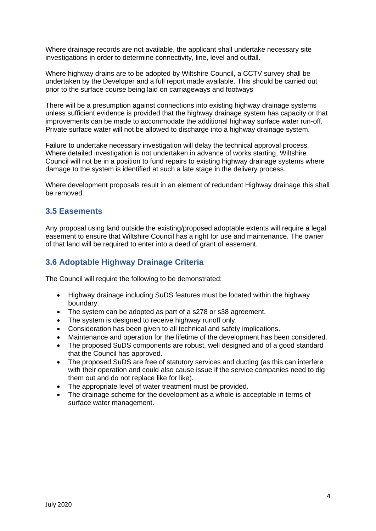Where drainage records are not available, the applicant shall undertake necessary site investigations in order to determine connectivity, line, level and outfall.

Where highway drains are to be adopted by Wiltshire Council, a CCTV survey shall be undertaken by the Developer and a full report made available. This should be carried out prior to the surface course being laid on carriageways and footways

There will be a presumption against connections into existing highway drainage systems unless sufficient evidence is provided that the highway drainage system has capacity or that improvements can be made to accommodate the additional highway surface water run-off. Private surface water will not be allowed to discharge into a highway drainage system.

Failure to undertake necessary investigation will delay the technical approval process. Where detailed investigation is not undertaken in advance of works starting, Wiltshire Council will not be in a position to fund repairs to existing highway drainage systems where damage to the system is identified at such a late stage in the delivery process.

Where development proposals result in an element of redundant Highway drainage this shall be removed.

#### <span id="page-3-0"></span>**3.5 Easements**

Any proposal using land outside the existing/proposed adoptable extents will require a legal easement to ensure that Wiltshire Council has a right for use and maintenance. The owner of that land will be required to enter into a deed of grant of easement.

#### <span id="page-3-1"></span>**3.6 Adoptable Highway Drainage Criteria**

The Council will require the following to be demonstrated:

- Highway drainage including SuDS features must be located within the highway boundary.
- The system can be adopted as part of a s278 or s38 agreement.
- The system is designed to receive highway runoff only.
- Consideration has been given to all technical and safety implications.
- Maintenance and operation for the lifetime of the development has been considered.
- The proposed SuDS components are robust, well designed and of a good standard that the Council has approved.
- The proposed SuDS are free of statutory services and ducting (as this can interfere with their operation and could also cause issue if the service companies need to dig them out and do not replace like for like).
- The appropriate level of water treatment must be provided.
- The drainage scheme for the development as a whole is acceptable in terms of surface water management.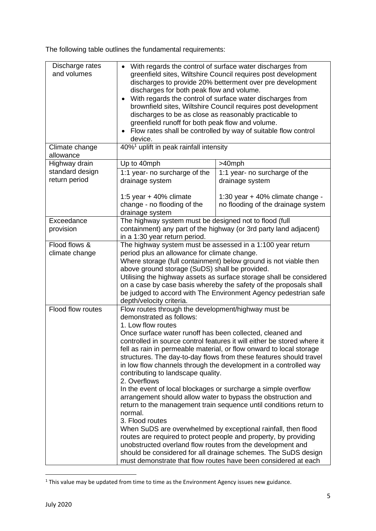The following table outlines the fundamental requirements:

| Discharge rates<br>and volumes   | With regards the control of surface water discharges from<br>$\bullet$<br>greenfield sites, Wiltshire Council requires post development<br>discharges to provide 20% betterment over pre development<br>discharges for both peak flow and volume.<br>With regards the control of surface water discharges from<br>$\bullet$<br>brownfield sites, Wiltshire Council requires post development<br>discharges to be as close as reasonably practicable to<br>greenfield runoff for both peak flow and volume.                                                                                                                                                                                                                                                                                                                                                                                                                                                                                                                                                                                        |                                                                        |  |
|----------------------------------|---------------------------------------------------------------------------------------------------------------------------------------------------------------------------------------------------------------------------------------------------------------------------------------------------------------------------------------------------------------------------------------------------------------------------------------------------------------------------------------------------------------------------------------------------------------------------------------------------------------------------------------------------------------------------------------------------------------------------------------------------------------------------------------------------------------------------------------------------------------------------------------------------------------------------------------------------------------------------------------------------------------------------------------------------------------------------------------------------|------------------------------------------------------------------------|--|
|                                  | Flow rates shall be controlled by way of suitable flow control<br>$\bullet$<br>device.                                                                                                                                                                                                                                                                                                                                                                                                                                                                                                                                                                                                                                                                                                                                                                                                                                                                                                                                                                                                            |                                                                        |  |
| Climate change<br>allowance      | 40% <sup>1</sup> uplift in peak rainfall intensity                                                                                                                                                                                                                                                                                                                                                                                                                                                                                                                                                                                                                                                                                                                                                                                                                                                                                                                                                                                                                                                |                                                                        |  |
| Highway drain                    | Up to 40mph                                                                                                                                                                                                                                                                                                                                                                                                                                                                                                                                                                                                                                                                                                                                                                                                                                                                                                                                                                                                                                                                                       | >40mph                                                                 |  |
| standard design<br>return period | 1:1 year- no surcharge of the<br>drainage system                                                                                                                                                                                                                                                                                                                                                                                                                                                                                                                                                                                                                                                                                                                                                                                                                                                                                                                                                                                                                                                  | 1:1 year- no surcharge of the<br>drainage system                       |  |
|                                  | 1:5 year $+$ 40% climate<br>change - no flooding of the<br>drainage system                                                                                                                                                                                                                                                                                                                                                                                                                                                                                                                                                                                                                                                                                                                                                                                                                                                                                                                                                                                                                        | 1:30 year + 40% climate change -<br>no flooding of the drainage system |  |
| Exceedance<br>provision          | The highway system must be designed not to flood (full<br>containment) any part of the highway (or 3rd party land adjacent)<br>in a 1:30 year return period.                                                                                                                                                                                                                                                                                                                                                                                                                                                                                                                                                                                                                                                                                                                                                                                                                                                                                                                                      |                                                                        |  |
| Flood flows &<br>climate change  | The highway system must be assessed in a 1:100 year return<br>period plus an allowance for climate change.<br>Where storage (full containment) below ground is not viable then<br>above ground storage (SuDS) shall be provided.<br>Utilising the highway assets as surface storage shall be considered<br>on a case by case basis whereby the safety of the proposals shall<br>be judged to accord with The Environment Agency pedestrian safe<br>depth/velocity criteria.                                                                                                                                                                                                                                                                                                                                                                                                                                                                                                                                                                                                                       |                                                                        |  |
| Flood flow routes                | Flow routes through the development/highway must be<br>demonstrated as follows:<br>1. Low flow routes<br>Once surface water runoff has been collected, cleaned and<br>controlled in source control features it will either be stored where it<br>fell as rain in permeable material, or flow onward to local storage<br>structures. The day-to-day flows from these features should travel<br>in low flow channels through the development in a controlled way<br>contributing to landscape quality.<br>2. Overflows<br>In the event of local blockages or surcharge a simple overflow<br>arrangement should allow water to bypass the obstruction and<br>return to the management train sequence until conditions return to<br>normal.<br>3. Flood routes<br>When SuDS are overwhelmed by exceptional rainfall, then flood<br>routes are required to protect people and property, by providing<br>unobstructed overland flow routes from the development and<br>should be considered for all drainage schemes. The SuDS design<br>must demonstrate that flow routes have been considered at each |                                                                        |  |

 $1$  This value may be updated from time to time as the Environment Agency issues new guidance.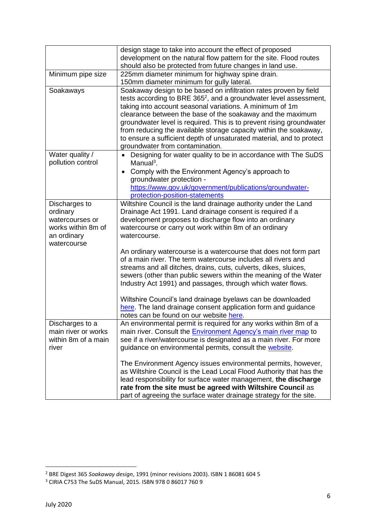|                                                                                                  | design stage to take into account the effect of proposed<br>development on the natural flow pattern for the site. Flood routes                                                                                                                                                                                                                                                                                                                                                                                                       |
|--------------------------------------------------------------------------------------------------|--------------------------------------------------------------------------------------------------------------------------------------------------------------------------------------------------------------------------------------------------------------------------------------------------------------------------------------------------------------------------------------------------------------------------------------------------------------------------------------------------------------------------------------|
|                                                                                                  | should also be protected from future changes in land use.                                                                                                                                                                                                                                                                                                                                                                                                                                                                            |
| Minimum pipe size                                                                                | 225mm diameter minimum for highway spine drain.                                                                                                                                                                                                                                                                                                                                                                                                                                                                                      |
|                                                                                                  | 150mm diameter minimum for gully lateral.                                                                                                                                                                                                                                                                                                                                                                                                                                                                                            |
| Soakaways                                                                                        | Soakaway design to be based on infiltration rates proven by field<br>tests according to BRE 365 <sup>2</sup> , and a groundwater level assessment,<br>taking into account seasonal variations. A minimum of 1m<br>clearance between the base of the soakaway and the maximum<br>groundwater level is required. This is to prevent rising groundwater<br>from reducing the available storage capacity within the soakaway,<br>to ensure a sufficient depth of unsaturated material, and to protect<br>groundwater from contamination. |
| Water quality /                                                                                  | Designing for water quality to be in accordance with The SuDS                                                                                                                                                                                                                                                                                                                                                                                                                                                                        |
| pollution control                                                                                | Manual <sup>3</sup> .<br>Comply with the Environment Agency's approach to<br>$\bullet$<br>groundwater protection -                                                                                                                                                                                                                                                                                                                                                                                                                   |
|                                                                                                  | https://www.gov.uk/government/publications/groundwater-                                                                                                                                                                                                                                                                                                                                                                                                                                                                              |
|                                                                                                  | protection-position-statements                                                                                                                                                                                                                                                                                                                                                                                                                                                                                                       |
| Discharges to<br>ordinary<br>watercourses or<br>works within 8m of<br>an ordinary<br>watercourse | Wiltshire Council is the land drainage authority under the Land<br>Drainage Act 1991. Land drainage consent is required if a<br>development proposes to discharge flow into an ordinary<br>watercourse or carry out work within 8m of an ordinary<br>watercourse.                                                                                                                                                                                                                                                                    |
|                                                                                                  | An ordinary watercourse is a watercourse that does not form part<br>of a main river. The term watercourse includes all rivers and<br>streams and all ditches, drains, cuts, culverts, dikes, sluices,<br>sewers (other than public sewers within the meaning of the Water<br>Industry Act 1991) and passages, through which water flows.<br>Wiltshire Council's land drainage byelaws can be downloaded<br>here. The land drainage consent application form and guidance<br>notes can be found on our website here.                  |
| Discharges to a                                                                                  | An environmental permit is required for any works within 8m of a                                                                                                                                                                                                                                                                                                                                                                                                                                                                     |
| main river or works                                                                              | main river. Consult the <b>Environment Agency's main river map</b> to                                                                                                                                                                                                                                                                                                                                                                                                                                                                |
| within 8m of a main                                                                              | see if a river/watercourse is designated as a main river. For more                                                                                                                                                                                                                                                                                                                                                                                                                                                                   |
| river                                                                                            | guidance on environmental permits, consult the website.                                                                                                                                                                                                                                                                                                                                                                                                                                                                              |
|                                                                                                  | The Environment Agency issues environmental permits, however,<br>as Wiltshire Council is the Lead Local Flood Authority that has the<br>lead responsibility for surface water management, the discharge<br>rate from the site must be agreed with Wiltshire Council as<br>part of agreeing the surface water drainage strategy for the site.                                                                                                                                                                                         |

<sup>2</sup> BRE Digest 365 *Soakaway design*, 1991 (minor revisions 2003). ISBN 1 86081 604 5

<sup>3</sup> CIRIA C753 The SuDS Manual, 2015. ISBN 978 0 86017 760 9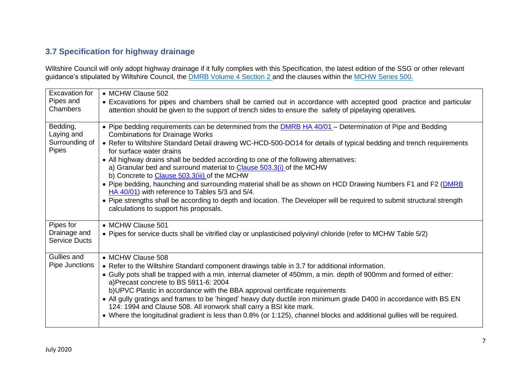## **3.7 Specification for highway drainage**

Wiltshire Council will only adopt highway drainage if it fully complies with this Specification, the latest edition of the SSG or other relevant guidance's stipulated by Wiltshire Council, the <u>DMRB Volume [4 Section](http://www.standardsforhighways.co.uk/ha/standards/dmrb/vol4/section2.htm) 2 </u>and the clauses within the <u>[MCHW](http://www.standardsforhighways.co.uk/ha/standards/mchw/vol1/pdfs/series_0500.pdf) Series 500.</u>

<span id="page-6-0"></span>

| Excavation for<br>Pipes and<br>Chambers           | • MCHW Clause 502<br>• Excavations for pipes and chambers shall be carried out in accordance with accepted good practice and particular<br>attention should be given to the support of trench sides to ensure the safety of pipelaying operatives.                                                                                                                                                                                                                                                                                                                                                                                                                                                                                                                                                                                                                          |
|---------------------------------------------------|-----------------------------------------------------------------------------------------------------------------------------------------------------------------------------------------------------------------------------------------------------------------------------------------------------------------------------------------------------------------------------------------------------------------------------------------------------------------------------------------------------------------------------------------------------------------------------------------------------------------------------------------------------------------------------------------------------------------------------------------------------------------------------------------------------------------------------------------------------------------------------|
| Bedding,<br>Laying and<br>Surrounding of<br>Pipes | • Pipe bedding requirements can be determined from the <b>DMRB HA 40/01</b> – Determination of Pipe and Bedding<br><b>Combinations for Drainage Works</b><br>• Refer to Wiltshire Standard Detail drawing WC-HCD-500-DO14 for details of typical bedding and trench requirements<br>for surface water drains<br>• All highway drains shall be bedded according to one of the following alternatives:<br>a) Granular bed and surround material to Clause 503.3(i) of the MCHW<br>b) Concrete to Clause 503.3(iii) of the MCHW<br>• Pipe bedding, haunching and surrounding material shall be as shown on HCD Drawing Numbers F1 and F2 ( <b>DMRB</b><br>HA 40/01) with reference to Tables 5/3 and 5/4.<br>• Pipe strengths shall be according to depth and location. The Developer will be required to submit structural strength<br>calculations to support his proposals. |
| Pipes for<br>Drainage and<br><b>Service Ducts</b> | • MCHW Clause 501<br>• Pipes for service ducts shall be vitrified clay or unplasticised polyvinyl chloride (refer to MCHW Table 5/2)                                                                                                                                                                                                                                                                                                                                                                                                                                                                                                                                                                                                                                                                                                                                        |
| Gullies and<br>Pipe Junctions                     | • MCHW Clause 508<br>• Refer to the Wiltshire Standard component drawings table in 3.7 for additional information.<br>• Gully pots shall be trapped with a min. internal diameter of 450mm, a min. depth of 900mm and formed of either:<br>a)Precast concrete to BS 5911-6: 2004<br>b)UPVC Plastic in accordance with the BBA approval certificate requirements<br>• All gully gratings and frames to be 'hinged' heavy duty ductile iron minimum grade D400 in accordance with BS EN<br>124: 1994 and Clause 508. All ironwork shall carry a BSI kite mark.<br>• Where the longitudinal gradient is less than 0.8% (or 1:125), channel blocks and additional gullies will be required.                                                                                                                                                                                     |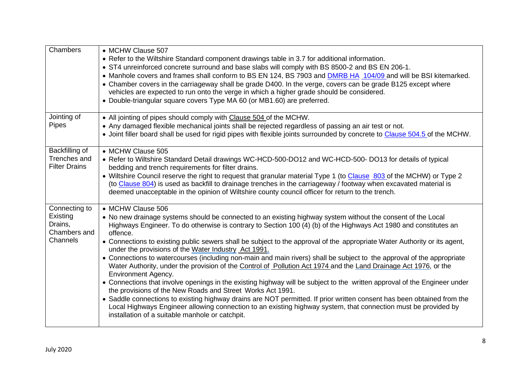| Chambers                                                         | • MCHW Clause 507<br>• Refer to the Wiltshire Standard component drawings table in 3.7 for additional information.<br>• ST4 unreinforced concrete surround and base slabs will comply with BS 8500-2 and BS EN 206-1.<br>• Manhole covers and frames shall conform to BS EN 124, BS 7903 and <b>DMRB HA 104/09</b> and will be BSI kitemarked.<br>• Chamber covers in the carriageway shall be grade D400. In the verge, covers can be grade B125 except where<br>vehicles are expected to run onto the verge in which a higher grade should be considered.<br>• Double-triangular square covers Type MA 60 (or MB1.60) are preferred.                                                                                                                                                                                                                                                                                                                                                                                                                                                                                                                                                                                 |
|------------------------------------------------------------------|------------------------------------------------------------------------------------------------------------------------------------------------------------------------------------------------------------------------------------------------------------------------------------------------------------------------------------------------------------------------------------------------------------------------------------------------------------------------------------------------------------------------------------------------------------------------------------------------------------------------------------------------------------------------------------------------------------------------------------------------------------------------------------------------------------------------------------------------------------------------------------------------------------------------------------------------------------------------------------------------------------------------------------------------------------------------------------------------------------------------------------------------------------------------------------------------------------------------|
| Jointing of<br><b>Pipes</b>                                      | • All jointing of pipes should comply with Clause 504 of the MCHW.<br>• Any damaged flexible mechanical joints shall be rejected regardless of passing an air test or not.<br>. Joint filler board shall be used for rigid pipes with flexible joints surrounded by concrete to Clause 504.5 of the MCHW.                                                                                                                                                                                                                                                                                                                                                                                                                                                                                                                                                                                                                                                                                                                                                                                                                                                                                                              |
| Backfilling of<br>Trenches and<br><b>Filter Drains</b>           | • MCHW Clause 505<br>• Refer to Wiltshire Standard Detail drawings WC-HCD-500-DO12 and WC-HCD-500-DO13 for details of typical<br>bedding and trench requirements for filter drains.<br>• Wiltshire Council reserve the right to request that granular material Type 1 (to Clause 803 of the MCHW) or Type 2<br>(to Clause 804) is used as backfill to drainage trenches in the carriageway / footway when excavated material is<br>deemed unacceptable in the opinion of Wiltshire county council officer for return to the trench.                                                                                                                                                                                                                                                                                                                                                                                                                                                                                                                                                                                                                                                                                    |
| Connecting to<br>Existing<br>Drains,<br>Chambers and<br>Channels | • MCHW Clause 506<br>• No new drainage systems should be connected to an existing highway system without the consent of the Local<br>Highways Engineer. To do otherwise is contrary to Section 100 (4) (b) of the Highways Act 1980 and constitutes an<br>offence.<br>• Connections to existing public sewers shall be subject to the approval of the appropriate Water Authority or its agent,<br>under the provisions of the Water Industry Act 1991.<br>• Connections to watercourses (including non-main and main rivers) shall be subject to the approval of the appropriate<br>Water Authority, under the provision of the Control of Pollution Act 1974 and the Land Drainage Act 1976, or the<br>Environment Agency.<br>• Connections that involve openings in the existing highway will be subject to the written approval of the Engineer under<br>the provisions of the New Roads and Street Works Act 1991.<br>• Saddle connections to existing highway drains are NOT permitted. If prior written consent has been obtained from the<br>Local Highways Engineer allowing connection to an existing highway system, that connection must be provided by<br>installation of a suitable manhole or catchpit. |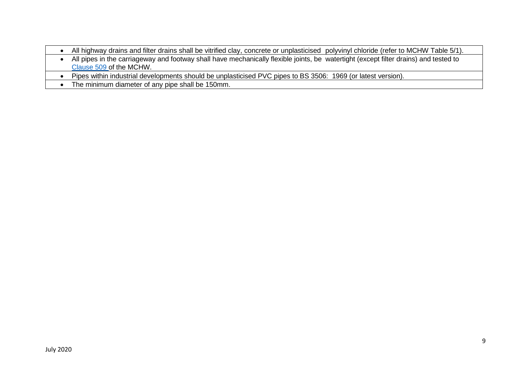- All highway drains and filter drains shall be vitrified clay, concrete or unplasticised polyvinyl chloride (refer to MCHW Table 5/1). • All pipes in the carriageway and footway shall have mechanically flexible joints, be watertight (except filter drains) and tested to [Clause](http://www.standardsforhighways.co.uk/ha/standards/mchw/vol1/pdfs/series_0500.pdf) 509 of the MCHW.
- Pipes within industrial developments should be unplasticised PVC pipes to BS 3506: 1969 (or latest version).
- The minimum diameter of any pipe shall be 150mm.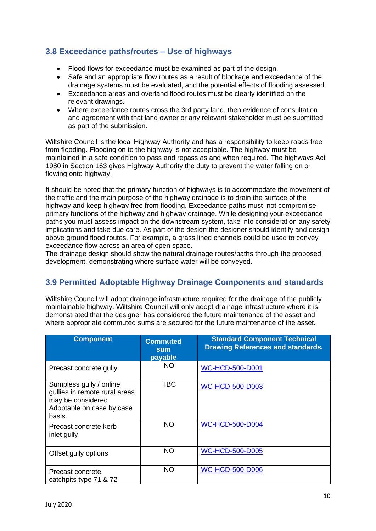#### <span id="page-9-0"></span>**3.8 Exceedance paths/routes – Use of highways**

- Flood flows for exceedance must be examined as part of the design.
- Safe and an appropriate flow routes as a result of blockage and exceedance of the drainage systems must be evaluated, and the potential effects of flooding assessed.
- Exceedance areas and overland flood routes must be clearly identified on the relevant drawings.
- Where exceedance routes cross the 3rd party land, then evidence of consultation and agreement with that land owner or any relevant stakeholder must be submitted as part of the submission.

Wiltshire Council is the local Highway Authority and has a responsibility to keep roads free from flooding. Flooding on to the highway is not acceptable. The highway must be maintained in a safe condition to pass and repass as and when required. The highways Act 1980 in Section 163 gives Highway Authority the duty to prevent the water falling on or flowing onto highway.

It should be noted that the primary function of highways is to accommodate the movement of the traffic and the main purpose of the highway drainage is to drain the surface of the highway and keep highway free from flooding. Exceedance paths must not compromise primary functions of the highway and highway drainage. While designing your exceedance paths you must assess impact on the downstream system, take into consideration any safety implications and take due care. As part of the design the designer should identify and design above ground flood routes. For example, a grass lined channels could be used to convey exceedance flow across an area of open space.

The drainage design should show the natural drainage routes/paths through the proposed development, demonstrating where surface water will be conveyed.

#### <span id="page-9-1"></span>**3.9 Permitted Adoptable Highway Drainage Components and standards**

Wiltshire Council will adopt drainage infrastructure required for the drainage of the publicly maintainable highway. Wiltshire Council will only adopt drainage infrastructure where it is demonstrated that the designer has considered the future maintenance of the asset and where appropriate commuted sums are secured for the future maintenance of the asset.

| <b>Component</b>                                                                                                     | <b>Commuted</b><br>sum<br>payable | <b>Standard Component Technical</b><br><b>Drawing References and standards.</b> |
|----------------------------------------------------------------------------------------------------------------------|-----------------------------------|---------------------------------------------------------------------------------|
| Precast concrete gully                                                                                               | <b>NO</b>                         | <b>WC-HCD-500-D001</b>                                                          |
| Sumpless gully / online<br>gullies in remote rural areas<br>may be considered<br>Adoptable on case by case<br>basis. | <b>TBC</b>                        | <b>WC-HCD-500-D003</b>                                                          |
| Precast concrete kerb<br>inlet gully                                                                                 | <b>NO</b>                         | <b>WC-HCD-500-D004</b>                                                          |
| Offset gully options                                                                                                 | <b>NO</b>                         | <b>WC-HCD-500-D005</b>                                                          |
| Precast concrete<br>catchpits type 71 & 72                                                                           | <b>NO</b>                         | <b>WC-HCD-500-D006</b>                                                          |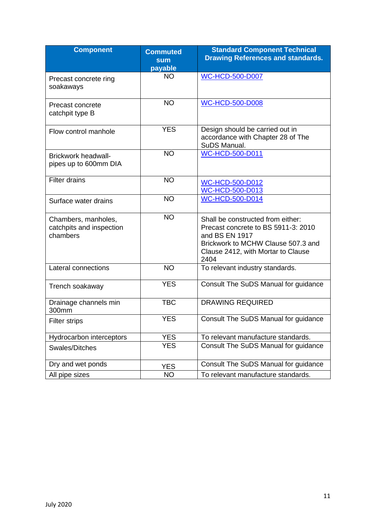| <b>Component</b>                                            | <b>Commuted</b><br><b>sum</b><br>payable | <b>Standard Component Technical</b><br><b>Drawing References and standards.</b>                                                                                                |
|-------------------------------------------------------------|------------------------------------------|--------------------------------------------------------------------------------------------------------------------------------------------------------------------------------|
| Precast concrete ring<br>soakaways                          | <b>NO</b>                                | <b>WC-HCD-500-D007</b>                                                                                                                                                         |
| Precast concrete<br>catchpit type B                         | <b>NO</b>                                | <b>WC-HCD-500-D008</b>                                                                                                                                                         |
| Flow control manhole                                        | <b>YES</b>                               | Design should be carried out in<br>accordance with Chapter 28 of The<br>SuDS Manual.                                                                                           |
| <b>Brickwork headwall-</b><br>pipes up to 600mm DIA         | <b>NO</b>                                | <b>WC-HCD-500-D011</b>                                                                                                                                                         |
| <b>Filter drains</b>                                        | <b>NO</b>                                | <b>WC-HCD-500-D012</b><br>WC-HCD-500-D013                                                                                                                                      |
| Surface water drains                                        | <b>NO</b>                                | <b>WC-HCD-500-D014</b>                                                                                                                                                         |
| Chambers, manholes,<br>catchpits and inspection<br>chambers | <b>NO</b>                                | Shall be constructed from either:<br>Precast concrete to BS 5911-3: 2010<br>and BS EN 1917<br>Brickwork to MCHW Clause 507.3 and<br>Clause 2412, with Mortar to Clause<br>2404 |
| Lateral connections                                         | <b>NO</b>                                | To relevant industry standards.                                                                                                                                                |
| Trench soakaway                                             | <b>YES</b>                               | Consult The SuDS Manual for guidance                                                                                                                                           |
| Drainage channels min<br>300mm                              | <b>TBC</b>                               | <b>DRAWING REQUIRED</b>                                                                                                                                                        |
| <b>Filter strips</b>                                        | <b>YES</b>                               | Consult The SuDS Manual for guidance                                                                                                                                           |
| Hydrocarbon interceptors                                    | <b>YES</b>                               | To relevant manufacture standards.                                                                                                                                             |
| Swales/Ditches                                              | <b>YES</b>                               | Consult The SuDS Manual for guidance                                                                                                                                           |
| Dry and wet ponds                                           | <b>YES</b>                               | Consult The SuDS Manual for guidance                                                                                                                                           |
| All pipe sizes                                              | <b>NO</b>                                | To relevant manufacture standards.                                                                                                                                             |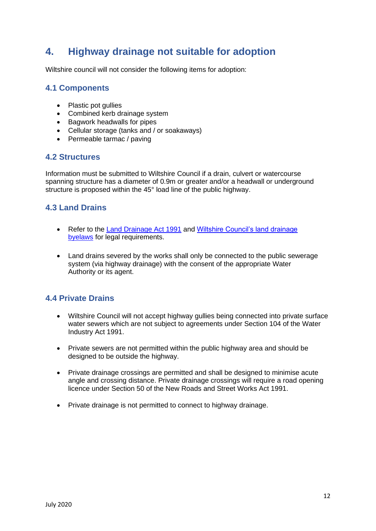## <span id="page-11-0"></span>**4. Highway drainage not suitable for adoption**

Wiltshire council will not consider the following items for adoption:

#### <span id="page-11-1"></span>**4.1 Components**

- Plastic pot gullies
- Combined kerb drainage system
- Bagwork headwalls for pipes
- Cellular storage (tanks and / or soakaways)
- Permeable tarmac / paving

#### <span id="page-11-2"></span>**4.2 Structures**

Information must be submitted to Wiltshire Council if a drain, culvert or watercourse spanning structure has a diameter of 0.9m or greater and/or a headwall or underground structure is proposed within the 45° load line of the public highway.

#### <span id="page-11-3"></span>**4.3 Land Drains**

- Refer to the [Land Drainage Act 1991](https://www.legislation.gov.uk/ukpga/1991/59/contents) and Wiltshire Council's land drainage [byelaws](http://www.wiltshire.gov.uk/civil-emergencies-drainage) for legal requirements.
- Land drains severed by the works shall only be connected to the public sewerage system (via highway drainage) with the consent of the appropriate Water Authority or its agent.

#### <span id="page-11-4"></span>**4.4 Private Drains**

- Wiltshire Council will not accept highway gullies being connected into private surface water sewers which are not subject to agreements under Section 104 of the Water Industry Act 1991.
- Private sewers are not permitted within the public highway area and should be designed to be outside the highway.
- Private drainage crossings are permitted and shall be designed to minimise acute angle and crossing distance. Private drainage crossings will require a road opening licence under Section 50 of the New Roads and Street Works Act 1991.
- Private drainage is not permitted to connect to highway drainage.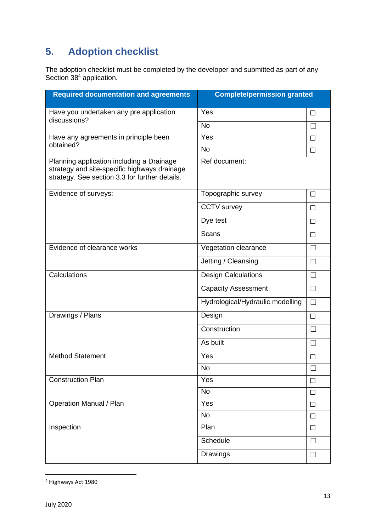## <span id="page-12-0"></span>**5. Adoption checklist**

The adoption checklist must be completed by the developer and submitted as part of any Section 38<sup>4</sup> application.

| <b>Required documentation and agreements</b>                                                                                                | <b>Complete/permission granted</b> |        |
|---------------------------------------------------------------------------------------------------------------------------------------------|------------------------------------|--------|
| Have you undertaken any pre application                                                                                                     | Yes                                | $\Box$ |
| discussions?                                                                                                                                | <b>No</b>                          | П      |
| Have any agreements in principle been                                                                                                       | Yes                                | $\Box$ |
| obtained?                                                                                                                                   | <b>No</b>                          | $\Box$ |
| Planning application including a Drainage<br>strategy and site-specific highways drainage<br>strategy. See section 3.3 for further details. | Ref document:                      |        |
| Evidence of surveys:                                                                                                                        | Topographic survey                 | $\Box$ |
|                                                                                                                                             | <b>CCTV</b> survey                 | $\Box$ |
|                                                                                                                                             | Dye test                           | $\Box$ |
|                                                                                                                                             | <b>Scans</b>                       | $\Box$ |
| Evidence of clearance works                                                                                                                 | Vegetation clearance               | $\Box$ |
|                                                                                                                                             | Jetting / Cleansing                | $\Box$ |
| Calculations                                                                                                                                | <b>Design Calculations</b>         | $\Box$ |
|                                                                                                                                             | <b>Capacity Assessment</b>         | $\Box$ |
|                                                                                                                                             | Hydrological/Hydraulic modelling   | $\Box$ |
| Drawings / Plans                                                                                                                            | Design                             | $\Box$ |
|                                                                                                                                             | Construction                       | $\Box$ |
|                                                                                                                                             | As built                           | $\Box$ |
| <b>Method Statement</b>                                                                                                                     | Yes                                | $\Box$ |
|                                                                                                                                             | <b>No</b>                          |        |
| <b>Construction Plan</b>                                                                                                                    | Yes                                | $\Box$ |
|                                                                                                                                             | <b>No</b>                          | $\Box$ |
| Operation Manual / Plan                                                                                                                     | Yes                                | $\Box$ |
|                                                                                                                                             | No                                 | $\Box$ |
| Inspection                                                                                                                                  | Plan                               | $\Box$ |
|                                                                                                                                             | Schedule                           | $\Box$ |
|                                                                                                                                             | <b>Drawings</b>                    | $\Box$ |

<sup>4</sup> Highways Act 1980